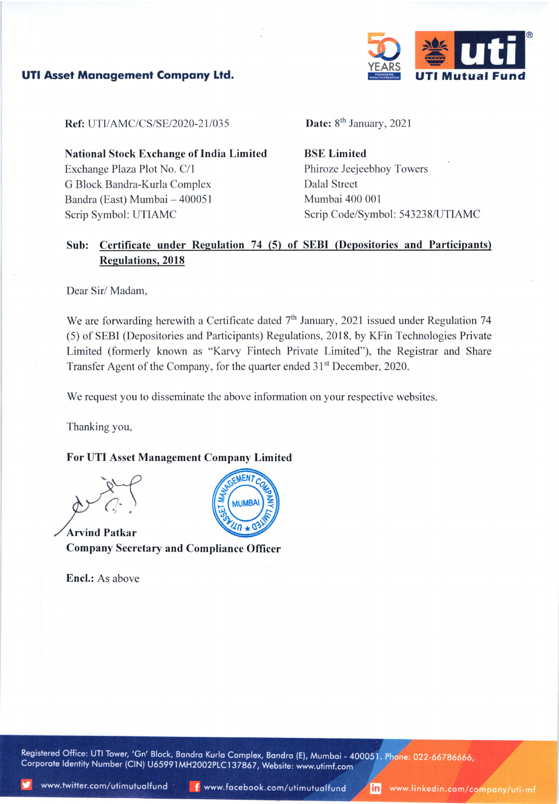

## **UTI Asset Management Company Ltd.**

**Ref:** UTI/AMC/CS/SE/2020-21/035

**National Stock Exchange of India Limited** Exchange Plaza Plot No. C/1 G Block Bandra-Kurla Complex Bandra (East) Mumbai - 400051 Scrip Symbol: UTIAMC

Date: 8<sup>th</sup> January, 2021

**BSE Limited** Phiroze Jeejeebhoy Towers **Dalal Street** Mumbai 400 001 Scrip Code/Symbol: 543238/UTIAMC

## Sub: Certificate under Regulation 74 (5) of SEBI (Depositories and Participants) **Regulations, 2018**

Dear Sir/Madam,

We are forwarding herewith a Certificate dated  $7<sup>th</sup>$  January, 2021 issued under Regulation 74 (5) of SEBI (Depositories and Participants) Regulations, 2018, by KFin Technologies Private Limited (formerly known as "Karvy Fintech Private Limited"), the Registrar and Share Transfer Agent of the Company, for the quarter ended 31<sup>st</sup> December, 2020.

We request you to disseminate the above information on your respective websites.

Thanking you,

## For UTI Asset Management Company Limited

**Arvind Patkar Company Secretary and Compliance Officer** 

**Encl.:** As above



Registered Office: UTI Tower, 'Gn' Block, Bandra Kurla Complex, Bandra (E), Mumbai - 400051. Phone: 022-66786666, Corporate Identity Number (CIN) U65991MH2002PLC137867, Website: www.utimf.com

inl